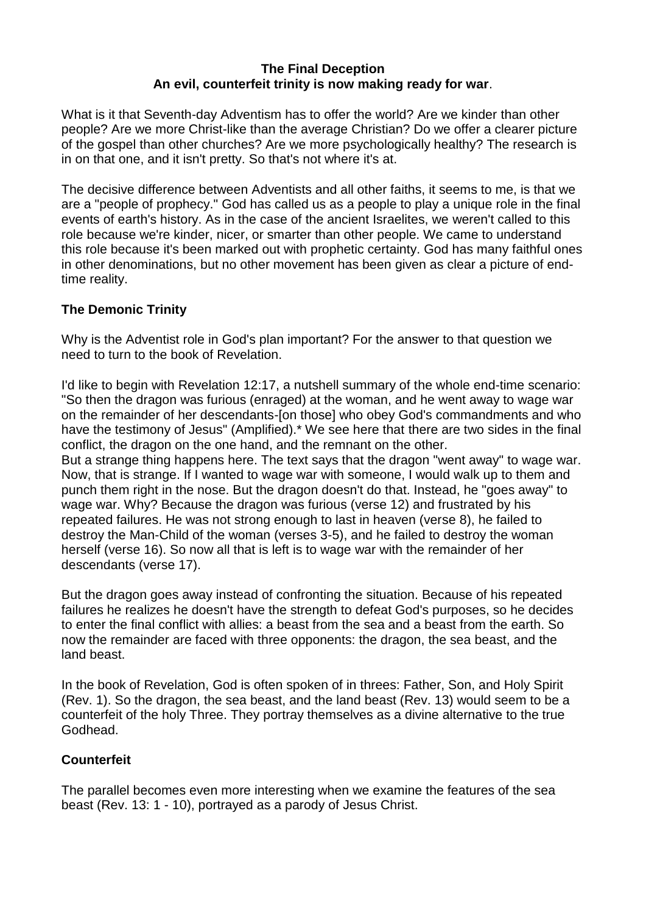### **The Final Deception An evil, counterfeit trinity is now making ready for war**.

What is it that Seventh-day Adventism has to offer the world? Are we kinder than other people? Are we more Christ-like than the average Christian? Do we offer a clearer picture of the gospel than other churches? Are we more psychologically healthy? The research is in on that one, and it isn't pretty. So that's not where it's at.

The decisive difference between Adventists and all other faiths, it seems to me, is that we are a "people of prophecy." God has called us as a people to play a unique role in the final events of earth's history. As in the case of the ancient Israelites, we weren't called to this role because we're kinder, nicer, or smarter than other people. We came to understand this role because it's been marked out with prophetic certainty. God has many faithful ones in other denominations, but no other movement has been given as clear a picture of endtime reality.

# **The Demonic Trinity**

Why is the Adventist role in God's plan important? For the answer to that question we need to turn to the book of Revelation.

I'd like to begin with Revelation 12:17, a nutshell summary of the whole end-time scenario: "So then the dragon was furious (enraged) at the woman, and he went away to wage war on the remainder of her descendants-[on those] who obey God's commandments and who have the testimony of Jesus" (Amplified).\* We see here that there are two sides in the final conflict, the dragon on the one hand, and the remnant on the other.

But a strange thing happens here. The text says that the dragon "went away" to wage war. Now, that is strange. If I wanted to wage war with someone, I would walk up to them and punch them right in the nose. But the dragon doesn't do that. Instead, he "goes away" to wage war. Why? Because the dragon was furious (verse 12) and frustrated by his repeated failures. He was not strong enough to last in heaven (verse 8), he failed to destroy the Man-Child of the woman (verses 3-5), and he failed to destroy the woman herself (verse 16). So now all that is left is to wage war with the remainder of her descendants (verse 17).

But the dragon goes away instead of confronting the situation. Because of his repeated failures he realizes he doesn't have the strength to defeat God's purposes, so he decides to enter the final conflict with allies: a beast from the sea and a beast from the earth. So now the remainder are faced with three opponents: the dragon, the sea beast, and the land beast.

In the book of Revelation, God is often spoken of in threes: Father, Son, and Holy Spirit (Rev. 1). So the dragon, the sea beast, and the land beast (Rev. 13) would seem to be a counterfeit of the holy Three. They portray themselves as a divine alternative to the true Godhead.

## **Counterfeit**

The parallel becomes even more interesting when we examine the features of the sea beast (Rev. 13: 1 - 10), portrayed as a parody of Jesus Christ.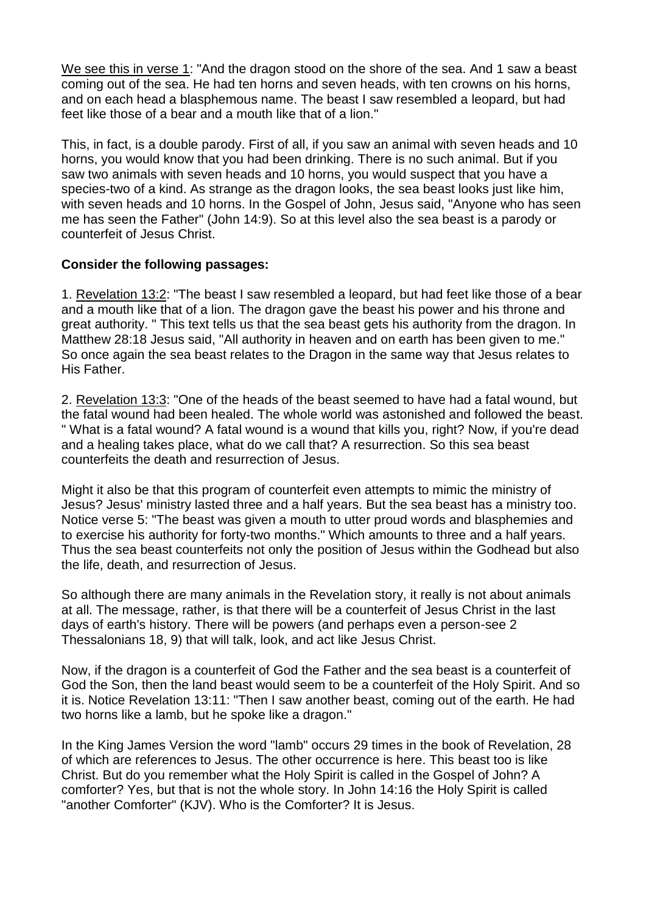We see this in verse 1: "And the dragon stood on the shore of the sea. And 1 saw a beast coming out of the sea. He had ten horns and seven heads, with ten crowns on his horns, and on each head a blasphemous name. The beast I saw resembled a leopard, but had feet like those of a bear and a mouth like that of a lion."

This, in fact, is a double parody. First of all, if you saw an animal with seven heads and 10 horns, you would know that you had been drinking. There is no such animal. But if you saw two animals with seven heads and 10 horns, you would suspect that you have a species-two of a kind. As strange as the dragon looks, the sea beast looks just like him, with seven heads and 10 horns. In the Gospel of John, Jesus said, "Anyone who has seen me has seen the Father" (John 14:9). So at this level also the sea beast is a parody or counterfeit of Jesus Christ.

### **Consider the following passages:**

1. Revelation 13:2: "The beast I saw resembled a leopard, but had feet like those of a bear and a mouth like that of a lion. The dragon gave the beast his power and his throne and great authority. " This text tells us that the sea beast gets his authority from the dragon. In Matthew 28:18 Jesus said, "All authority in heaven and on earth has been given to me." So once again the sea beast relates to the Dragon in the same way that Jesus relates to His Father.

2. Revelation 13:3: "One of the heads of the beast seemed to have had a fatal wound, but the fatal wound had been healed. The whole world was astonished and followed the beast. " What is a fatal wound? A fatal wound is a wound that kills you, right? Now, if you're dead and a healing takes place, what do we call that? A resurrection. So this sea beast counterfeits the death and resurrection of Jesus.

Might it also be that this program of counterfeit even attempts to mimic the ministry of Jesus? Jesus' ministry lasted three and a half years. But the sea beast has a ministry too. Notice verse 5: "The beast was given a mouth to utter proud words and blasphemies and to exercise his authority for forty-two months." Which amounts to three and a half years. Thus the sea beast counterfeits not only the position of Jesus within the Godhead but also the life, death, and resurrection of Jesus.

So although there are many animals in the Revelation story, it really is not about animals at all. The message, rather, is that there will be a counterfeit of Jesus Christ in the last days of earth's history. There will be powers (and perhaps even a person-see 2 Thessalonians 18, 9) that will talk, look, and act like Jesus Christ.

Now, if the dragon is a counterfeit of God the Father and the sea beast is a counterfeit of God the Son, then the land beast would seem to be a counterfeit of the Holy Spirit. And so it is. Notice Revelation 13:11: "Then I saw another beast, coming out of the earth. He had two horns like a lamb, but he spoke like a dragon."

In the King James Version the word "lamb" occurs 29 times in the book of Revelation, 28 of which are references to Jesus. The other occurrence is here. This beast too is like Christ. But do you remember what the Holy Spirit is called in the Gospel of John? A comforter? Yes, but that is not the whole story. In John 14:16 the Holy Spirit is called "another Comforter" (KJV). Who is the Comforter? It is Jesus.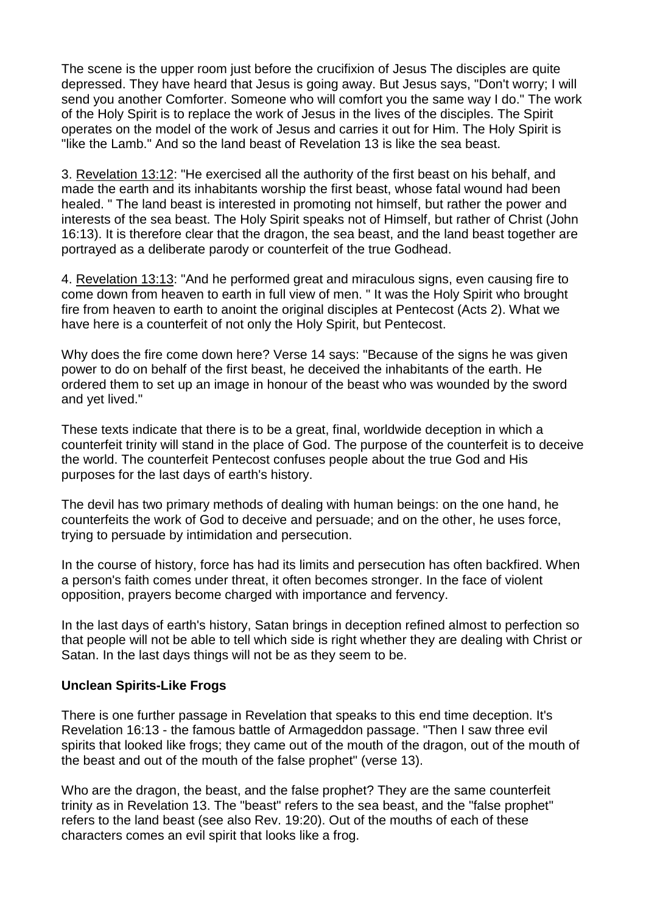The scene is the upper room just before the crucifixion of Jesus The disciples are quite depressed. They have heard that Jesus is going away. But Jesus says, "Don't worry; I will send you another Comforter. Someone who will comfort you the same way I do." The work of the Holy Spirit is to replace the work of Jesus in the lives of the disciples. The Spirit operates on the model of the work of Jesus and carries it out for Him. The Holy Spirit is "like the Lamb." And so the land beast of Revelation 13 is like the sea beast.

3. Revelation 13:12: "He exercised all the authority of the first beast on his behalf, and made the earth and its inhabitants worship the first beast, whose fatal wound had been healed. " The land beast is interested in promoting not himself, but rather the power and interests of the sea beast. The Holy Spirit speaks not of Himself, but rather of Christ (John 16:13). It is therefore clear that the dragon, the sea beast, and the land beast together are portrayed as a deliberate parody or counterfeit of the true Godhead.

4. Revelation 13:13: "And he performed great and miraculous signs, even causing fire to come down from heaven to earth in full view of men. " It was the Holy Spirit who brought fire from heaven to earth to anoint the original disciples at Pentecost (Acts 2). What we have here is a counterfeit of not only the Holy Spirit, but Pentecost.

Why does the fire come down here? Verse 14 says: "Because of the signs he was given power to do on behalf of the first beast, he deceived the inhabitants of the earth. He ordered them to set up an image in honour of the beast who was wounded by the sword and yet lived."

These texts indicate that there is to be a great, final, worldwide deception in which a counterfeit trinity will stand in the place of God. The purpose of the counterfeit is to deceive the world. The counterfeit Pentecost confuses people about the true God and His purposes for the last days of earth's history.

The devil has two primary methods of dealing with human beings: on the one hand, he counterfeits the work of God to deceive and persuade; and on the other, he uses force, trying to persuade by intimidation and persecution.

In the course of history, force has had its limits and persecution has often backfired. When a person's faith comes under threat, it often becomes stronger. In the face of violent opposition, prayers become charged with importance and fervency.

In the last days of earth's history, Satan brings in deception refined almost to perfection so that people will not be able to tell which side is right whether they are dealing with Christ or Satan. In the last days things will not be as they seem to be.

#### **Unclean Spirits-Like Frogs**

There is one further passage in Revelation that speaks to this end time deception. It's Revelation 16:13 - the famous battle of Armageddon passage. "Then I saw three evil spirits that looked like frogs; they came out of the mouth of the dragon, out of the mouth of the beast and out of the mouth of the false prophet" (verse 13).

Who are the dragon, the beast, and the false prophet? They are the same counterfeit trinity as in Revelation 13. The "beast" refers to the sea beast, and the "false prophet" refers to the land beast (see also Rev. 19:20). Out of the mouths of each of these characters comes an evil spirit that looks like a frog.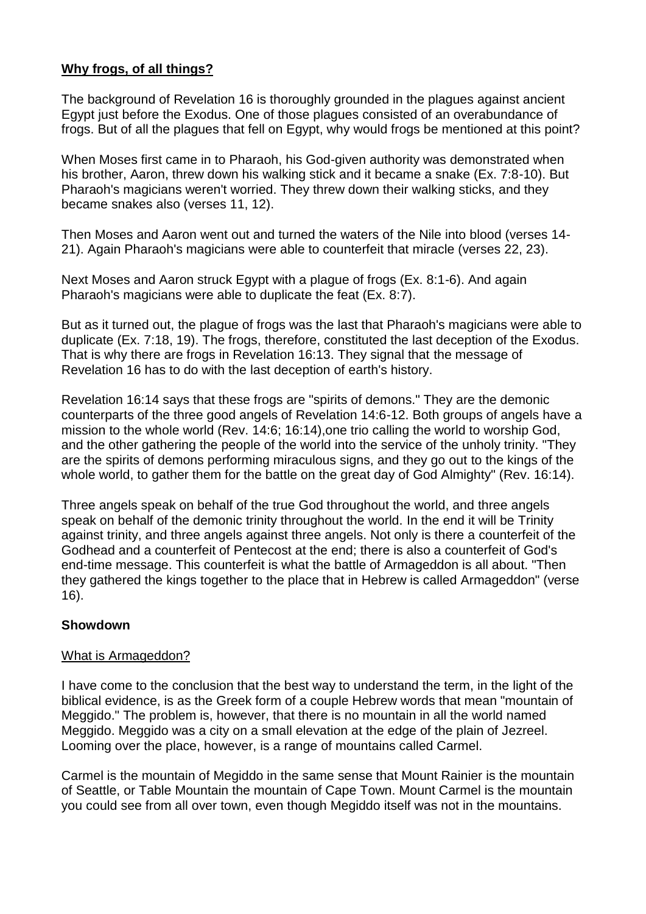## **Why frogs, of all things?**

The background of Revelation 16 is thoroughly grounded in the plagues against ancient Egypt just before the Exodus. One of those plagues consisted of an overabundance of frogs. But of all the plagues that fell on Egypt, why would frogs be mentioned at this point?

When Moses first came in to Pharaoh, his God-given authority was demonstrated when his brother, Aaron, threw down his walking stick and it became a snake (Ex. 7:8-10). But Pharaoh's magicians weren't worried. They threw down their walking sticks, and they became snakes also (verses 11, 12).

Then Moses and Aaron went out and turned the waters of the Nile into blood (verses 14- 21). Again Pharaoh's magicians were able to counterfeit that miracle (verses 22, 23).

Next Moses and Aaron struck Egypt with a plague of frogs (Ex. 8:1-6). And again Pharaoh's magicians were able to duplicate the feat (Ex. 8:7).

But as it turned out, the plague of frogs was the last that Pharaoh's magicians were able to duplicate (Ex. 7:18, 19). The frogs, therefore, constituted the last deception of the Exodus. That is why there are frogs in Revelation 16:13. They signal that the message of Revelation 16 has to do with the last deception of earth's history.

Revelation 16:14 says that these frogs are "spirits of demons." They are the demonic counterparts of the three good angels of Revelation 14:6-12. Both groups of angels have a mission to the whole world (Rev. 14:6; 16:14),one trio calling the world to worship God, and the other gathering the people of the world into the service of the unholy trinity. "They are the spirits of demons performing miraculous signs, and they go out to the kings of the whole world, to gather them for the battle on the great day of God Almighty" (Rev. 16:14).

Three angels speak on behalf of the true God throughout the world, and three angels speak on behalf of the demonic trinity throughout the world. In the end it will be Trinity against trinity, and three angels against three angels. Not only is there a counterfeit of the Godhead and a counterfeit of Pentecost at the end; there is also a counterfeit of God's end-time message. This counterfeit is what the battle of Armageddon is all about. "Then they gathered the kings together to the place that in Hebrew is called Armageddon" (verse 16).

#### **Showdown**

#### What is Armageddon?

I have come to the conclusion that the best way to understand the term, in the light of the biblical evidence, is as the Greek form of a couple Hebrew words that mean "mountain of Meggido." The problem is, however, that there is no mountain in all the world named Meggido. Meggido was a city on a small elevation at the edge of the plain of Jezreel. Looming over the place, however, is a range of mountains called Carmel.

Carmel is the mountain of Megiddo in the same sense that Mount Rainier is the mountain of Seattle, or Table Mountain the mountain of Cape Town. Mount Carmel is the mountain you could see from all over town, even though Megiddo itself was not in the mountains.